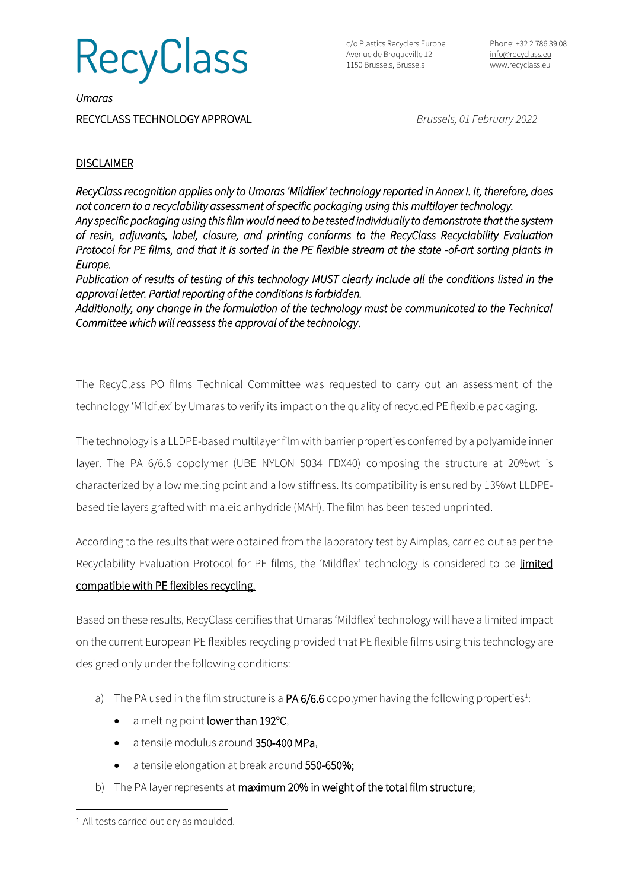**RecyClass** 

c/o Plastics Recyclers Europe Avenue de Broqueville 12 1150 Brussels, Brussels

*Umaras* 

RECYCLASS TECHNOLOGY APPROVAL *Brussels, 01 February 2022*

## **DISCLAIMER**

*RecyClass recognition applies only to Umaras 'Mildflex' technology reported in Annex I. It, therefore, does not concern to a recyclability assessment of specific packaging using this multilayer technology. Any specific packaging using this film would need to be tested individually to demonstrate that the system of resin, adjuvants, label, closure, and printing conforms to the RecyClass Recyclability Evaluation Protocol for PE films, and that it is sorted in the PE flexible stream at the state -of-art sorting plants in Europe.* 

*Publication of results of testing of this technology MUST clearly include all the conditions listed in the approval letter. Partial reporting of the conditions is forbidden.* 

*Additionally, any change in the formulation of the technology must be communicated to the Technical Committee which will reassess the approval of the technology*.

The RecyClass PO films Technical Committee was requested to carry out an assessment of the technology 'Mildflex' by Umaras to verify its impact on the quality of recycled PE flexible packaging.

The technology is a LLDPE-based multilayer film with barrier properties conferred by a polyamide inner layer. The PA 6/6.6 copolymer (UBE NYLON 5034 FDX40) composing the structure at 20%wt is characterized by a low melting point and a low stiffness. Its compatibility is ensured by 13%wt LLDPEbased tie layers grafted with maleic anhydride (MAH). The film has been tested unprinted.

According to the results that were obtained from the laboratory test by Aimplas, carried out as per the Recyclability Evaluation Protocol for PE films, the 'Mildflex' technology is considered to be limited compatible with PE flexibles recycling.

Based on these results, RecyClass certifies that Umaras 'Mildflex' technology will have a limited impact on the current European PE flexibles recycling provided that PE flexible films using this technology are designed only under the following conditions:

- a) The PA used in the film structure is a  $PA6/6.6$  copolymer having the following properties<sup>1</sup>:
	- a melting point lower than 192°C,
	- a tensile modulus around 350-400 MPa,
	- a tensile elongation at break around 550-650%;
- b) The PA layer represents at maximum 20% in weight of the total film structure;

<sup>1</sup> All tests carried out dry as moulded.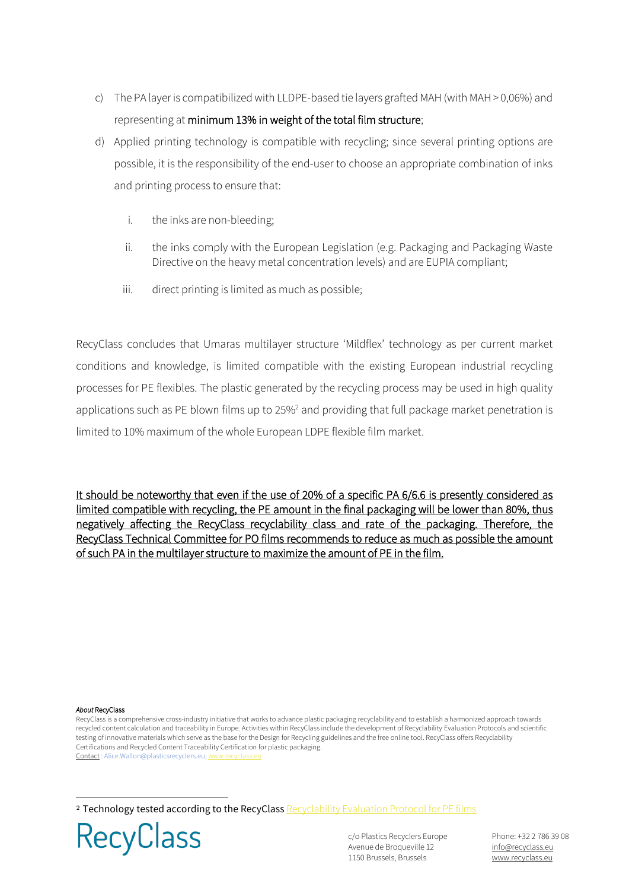- c) The PA layer is compatibilized with LLDPE-based tie layers grafted MAH (with MAH > 0,06%) and representing at minimum 13% in weight of the total film structure;
- d) Applied printing technology is compatible with recycling; since several printing options are possible, it is the responsibility of the end-user to choose an appropriate combination of inks and printing process to ensure that:
	- i. the inks are non-bleeding;
	- ii. the inks comply with the European Legislation (e.g. Packaging and Packaging Waste Directive on the heavy metal concentration levels) and are EUPIA compliant;
	- iii. direct printing is limited as much as possible;

RecyClass concludes that Umaras multilayer structure 'Mildflex' technology as per current market conditions and knowledge, is limited compatible with the existing European industrial recycling processes for PE flexibles. The plastic generated by the recycling process may be used in high quality applications such as PE blown films up to 25%<sup>2</sup> and providing that full package market penetration is limited to 10% maximum of the whole European LDPE flexible film market.

It should be noteworthy that even if the use of 20% of a specific PA 6/6.6 is presently considered as limited compatible with recycling, the PE amount in the final packaging will be lower than 80%, thus negatively affecting the RecyClass recyclability class and rate of the packaging. Therefore, the RecyClass Technical Committee for PO films recommends to reduce as much as possible the amount of such PA in the multilayer structure to maximize the amount of PE in the film.

## *About* RecyClass

RecyClass is a comprehensive cross-industry initiative that works to advance plastic packaging recyclability and to establish a harmonized approach towards recycled content calculation and traceability in Europe. Activities within RecyClass include the development of Recyclability Evaluation Protocols and scientific testing of innovative materials which serve as the base for the Design for Recycling guidelines and the free online tool. RecyClass offers Recyclability Certifications and Recycled Content Traceability Certification for plastic packaging. Contact : Alice.Wallon@plasticsrecyclers.eu, w

2 Technology tested according to the RecyClass [Recyclability Evaluation Protocol for PE films](https://recyclass.eu/recyclability/test-methods/)



c/o Plastics Recyclers Europe Avenue de Broqueville 12 1150 Brussels, Brussels

Phone: +32 2 786 39 08 [info@recyclass.eu](mailto:info@recyclass.eu) [www.recyclass.eu](http://www.recyclass.eu/)